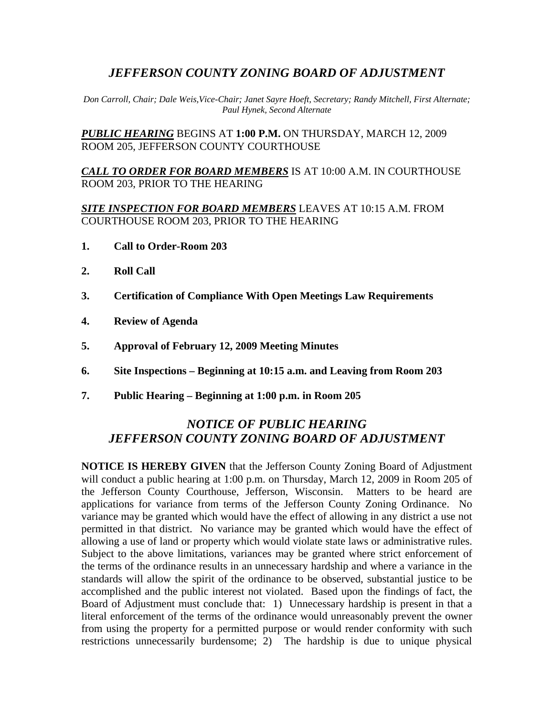# *JEFFERSON COUNTY ZONING BOARD OF ADJUSTMENT*

*Don Carroll, Chair; Dale Weis,Vice-Chair; Janet Sayre Hoeft, Secretary; Randy Mitchell, First Alternate; Paul Hynek, Second Alternate* 

*PUBLIC HEARING* BEGINS AT **1:00 P.M.** ON THURSDAY, MARCH 12, 2009 ROOM 205, JEFFERSON COUNTY COURTHOUSE

*CALL TO ORDER FOR BOARD MEMBERS* IS AT 10:00 A.M. IN COURTHOUSE ROOM 203, PRIOR TO THE HEARING

*SITE INSPECTION FOR BOARD MEMBERS* LEAVES AT 10:15 A.M. FROM COURTHOUSE ROOM 203, PRIOR TO THE HEARING

- **1. Call to Order-Room 203**
- **2. Roll Call**
- **3. Certification of Compliance With Open Meetings Law Requirements**
- **4. Review of Agenda**
- **5. Approval of February 12, 2009 Meeting Minutes**
- **6. Site Inspections Beginning at 10:15 a.m. and Leaving from Room 203**
- **7. Public Hearing Beginning at 1:00 p.m. in Room 205**

## *NOTICE OF PUBLIC HEARING JEFFERSON COUNTY ZONING BOARD OF ADJUSTMENT*

**NOTICE IS HEREBY GIVEN** that the Jefferson County Zoning Board of Adjustment will conduct a public hearing at 1:00 p.m. on Thursday, March 12, 2009 in Room 205 of the Jefferson County Courthouse, Jefferson, Wisconsin. Matters to be heard are applications for variance from terms of the Jefferson County Zoning Ordinance. No variance may be granted which would have the effect of allowing in any district a use not permitted in that district. No variance may be granted which would have the effect of allowing a use of land or property which would violate state laws or administrative rules. Subject to the above limitations, variances may be granted where strict enforcement of the terms of the ordinance results in an unnecessary hardship and where a variance in the standards will allow the spirit of the ordinance to be observed, substantial justice to be accomplished and the public interest not violated. Based upon the findings of fact, the Board of Adjustment must conclude that: 1) Unnecessary hardship is present in that a literal enforcement of the terms of the ordinance would unreasonably prevent the owner from using the property for a permitted purpose or would render conformity with such restrictions unnecessarily burdensome; 2) The hardship is due to unique physical